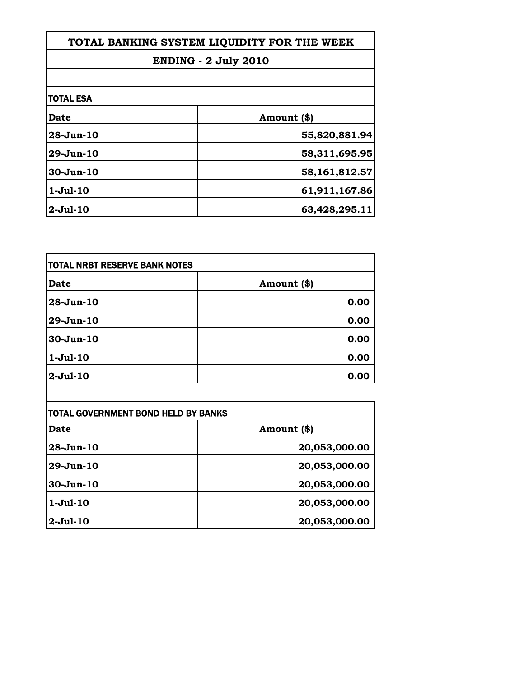| TOTAL BANKING SYSTEM LIQUIDITY FOR THE WEEK<br><b>ENDING - 2 July 2010</b> |  |
|----------------------------------------------------------------------------|--|
|                                                                            |  |
|                                                                            |  |
| Amount (\$)                                                                |  |
| 55,820,881.94                                                              |  |
| 58,311,695.95                                                              |  |
| 58,161,812.57                                                              |  |
| 61,911,167.86                                                              |  |
| 63,428,295.11                                                              |  |
|                                                                            |  |

| TOTAL NRBT RESERVE BANK NOTES |             |
|-------------------------------|-------------|
| <b>Date</b>                   | Amount (\$) |
| 28-Jun-10                     | 0.00        |
| 29-Jun-10                     | 0.00        |
| 30-Jun-10                     | 0.00        |
| $1-Jul-10$                    | 0.00        |
| $2-Jul-10$                    | 0.00        |

| TOTAL GOVERNMENT BOND HELD BY BANKS |               |
|-------------------------------------|---------------|
| Date                                | Amount (\$)   |
| $28 - Jun-10$                       | 20,053,000.00 |
| $29-Jun-10$                         | 20,053,000.00 |
| 30-Jun-10                           | 20,053,000.00 |
| $1-Jul-10$                          | 20,053,000.00 |
| $2-Jul-10$                          | 20,053,000.00 |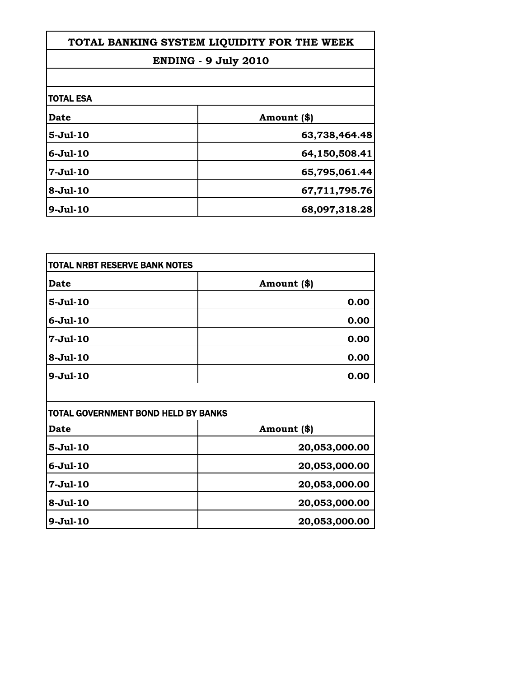| TOTAL BANKING SYSTEM LIQUIDITY FOR THE WEEK<br><b>ENDING - 9 July 2010</b> |  |
|----------------------------------------------------------------------------|--|
|                                                                            |  |
|                                                                            |  |
| Amount (\$)                                                                |  |
| 63,738,464.48                                                              |  |
| 64,150,508.41                                                              |  |
| 65,795,061.44                                                              |  |
| 67,711,795.76                                                              |  |
| 68,097,318.28                                                              |  |
|                                                                            |  |

| TOTAL NRBT RESERVE BANK NOTES |             |
|-------------------------------|-------------|
| Date                          | Amount (\$) |
| 5-Jul-10                      | 0.00        |
| $6 -$ Jul $-10$               | 0.00        |
| 7-Jul-10                      | 0.00        |
| 8-Jul-10                      | 0.00        |
| 9-Jul-10                      | 0.00        |

| TOTAL GOVERNMENT BOND HELD BY BANKS |               |
|-------------------------------------|---------------|
| Date                                | Amount (\$)   |
| $5-Jul-10$                          | 20,053,000.00 |
| $6 -$ Jul $-10$                     | 20,053,000.00 |
| $7-Jul-10$                          | 20,053,000.00 |
| $8-Jul-10$                          | 20,053,000.00 |
| $9 - Jul - 10$                      | 20,053,000.00 |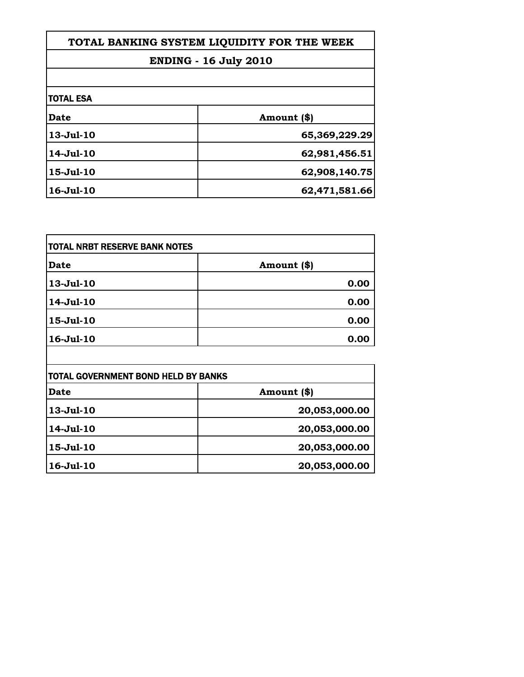| TOTAL BANKING SYSTEM LIQUIDITY FOR THE WEEK |               |
|---------------------------------------------|---------------|
| <b>ENDING - 16 July 2010</b>                |               |
|                                             |               |
| <b>Date</b>                                 | Amount (\$)   |
| $13 - Jul - 10$                             | 65,369,229.29 |
| 14-Jul-10                                   | 62,981,456.51 |
| 15-Jul-10                                   | 62,908,140.75 |
| $16 -$ Jul $-10$                            | 62,471,581.66 |

| <b>TOTAL NRBT RESERVE BANK NOTES</b>       |             |
|--------------------------------------------|-------------|
| Date                                       | Amount (\$) |
| 13-Jul-10                                  | 0.00        |
| 14-Jul-10                                  | 0.00        |
| 15-Jul-10                                  | 0.00        |
| $16 -$ Jul $-10$                           | 0.00        |
|                                            |             |
| <b>TOTAL GOVERNMENT BOND HELD BY BANKS</b> |             |
| Date                                       | Amount (\$) |
|                                            |             |

| Date             | Amount (\$)   |
|------------------|---------------|
| $13 - Jul - 10$  | 20,053,000.00 |
| $14 -$ Jul $-10$ | 20,053,000.00 |
| $15 -$ Jul $-10$ | 20,053,000.00 |
| $16 -$ Jul $-10$ | 20,053,000.00 |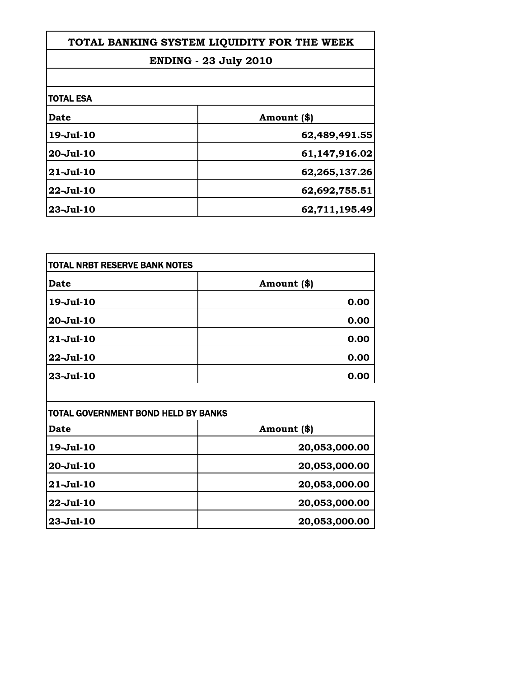| TOTAL BANKING SYSTEM LIQUIDITY FOR THE WEEK |  |
|---------------------------------------------|--|
| <b>ENDING - 23 July 2010</b>                |  |
|                                             |  |
|                                             |  |
| Amount (\$)                                 |  |
| 62,489,491.55                               |  |
| 61,147,916.02                               |  |
| 62,265,137.26                               |  |
| 62,692,755.51                               |  |
| 62,711,195.49                               |  |
|                                             |  |

| TOTAL NRBT RESERVE BANK NOTES |             |
|-------------------------------|-------------|
| <b>Date</b>                   | Amount (\$) |
| 19-Jul-10                     | 0.00        |
| 20-Jul-10                     | 0.00        |
| 21-Jul-10                     | 0.00        |
| 22-Jul-10                     | 0.00        |
| 23-Jul-10                     | 0.00        |

| TOTAL GOVERNMENT BOND HELD BY BANKS |               |
|-------------------------------------|---------------|
| <b>Date</b>                         | Amount (\$)   |
| 19-Jul-10                           | 20,053,000.00 |
| 20-Jul-10                           | 20,053,000.00 |
| $21 -$ Jul $-10$                    | 20,053,000.00 |
| $22 -$ Jul $-10$                    | 20,053,000.00 |
| $23 - Jul - 10$                     | 20,053,000.00 |